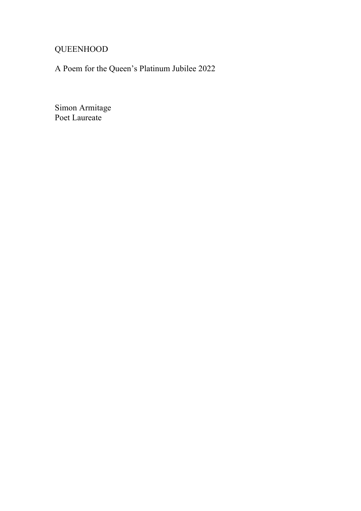## QUEENHOOD

A Poem for the Queen's Platinum Jubilee 2022

Simon Armitage Poet Laureate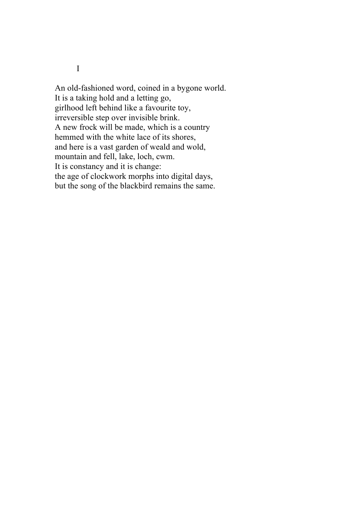I

An old-fashioned word, coined in a bygone world. It is a taking hold and a letting go, girlhood left behind like a favourite toy, irreversible step over invisible brink. A new frock will be made, which is a country hemmed with the white lace of its shores, and here is a vast garden of weald and wold, mountain and fell, lake, loch, cwm. It is constancy and it is change: the age of clockwork morphs into digital days, but the song of the blackbird remains the same.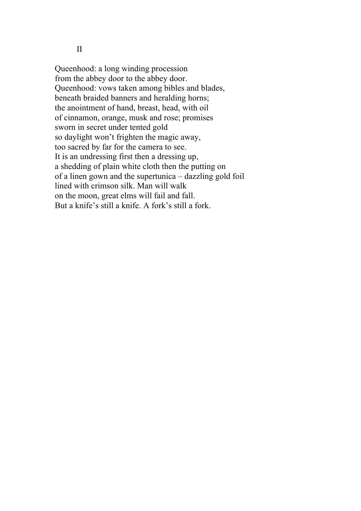II

Queenhood: a long winding procession from the abbey door to the abbey door. Queenhood: vows taken among bibles and blades, beneath braided banners and heralding horns; the anointment of hand, breast, head, with oil of cinnamon, orange, musk and rose; promises sworn in secret under tented gold so daylight won't frighten the magic away, too sacred by far for the camera to see. It is an undressing first then a dressing up, a shedding of plain white cloth then the putting on of a linen gown and the supertunica – dazzling gold foil lined with crimson silk. Man will walk on the moon, great elms will fail and fall. But a knife's still a knife. A fork's still a fork.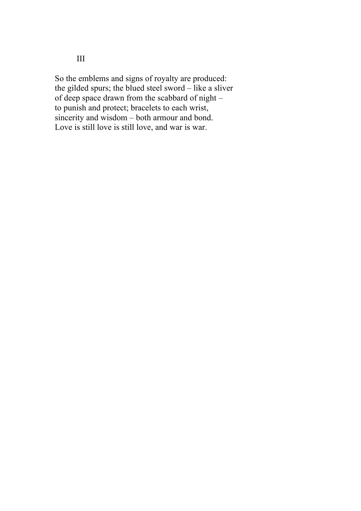So the emblems and signs of royalty are produced: the gilded spurs; the blued steel sword – like a sliver of deep space drawn from the scabbard of night – to punish and protect; bracelets to each wrist, sincerity and wisdom – both armour and bond. Love is still love is still love, and war is war.

III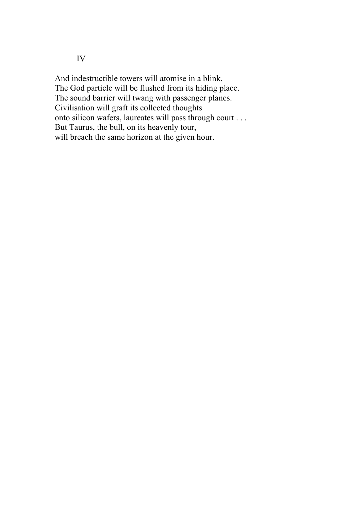IV

And indestructible towers will atomise in a blink. The God particle will be flushed from its hiding place. The sound barrier will twang with passenger planes. Civilisation will graft its collected thoughts onto silicon wafers, laureates will pass through court . . . But Taurus, the bull, on its heavenly tour, will breach the same horizon at the given hour.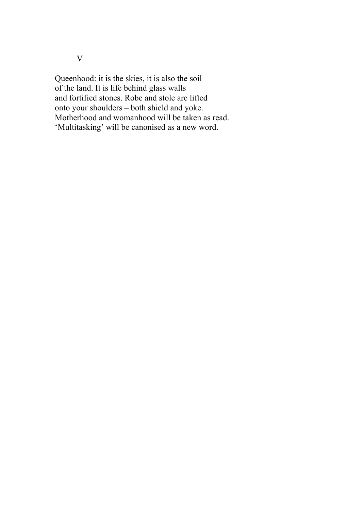Queenhood: it is the skies, it is also the soil of the land. It is life behind glass walls and fortified stones. Robe and stole are lifted onto your shoulders – both shield and yoke. Motherhood and womanhood will be taken as read. 'Multitasking' will be canonised as a new word.

V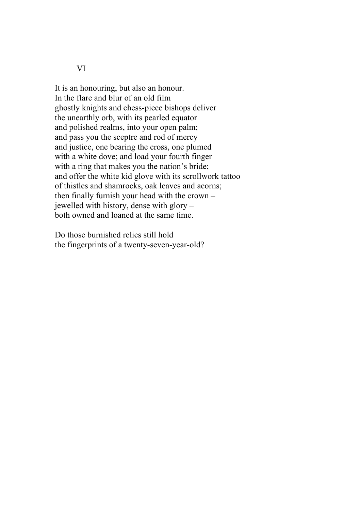VI

It is an honouring, but also an honour. In the flare and blur of an old film ghostly knights and chess-piece bishops deliver the unearthly orb, with its pearled equator and polished realms, into your open palm; and pass you the sceptre and rod of mercy and justice, one bearing the cross, one plumed with a white dove; and load your fourth finger with a ring that makes you the nation's bride; and offer the white kid glove with its scrollwork tattoo of thistles and shamrocks, oak leaves and acorns; then finally furnish your head with the crown – jewelled with history, dense with glory – both owned and loaned at the same time.

Do those burnished relics still hold the fingerprints of a twenty-seven-year-old?